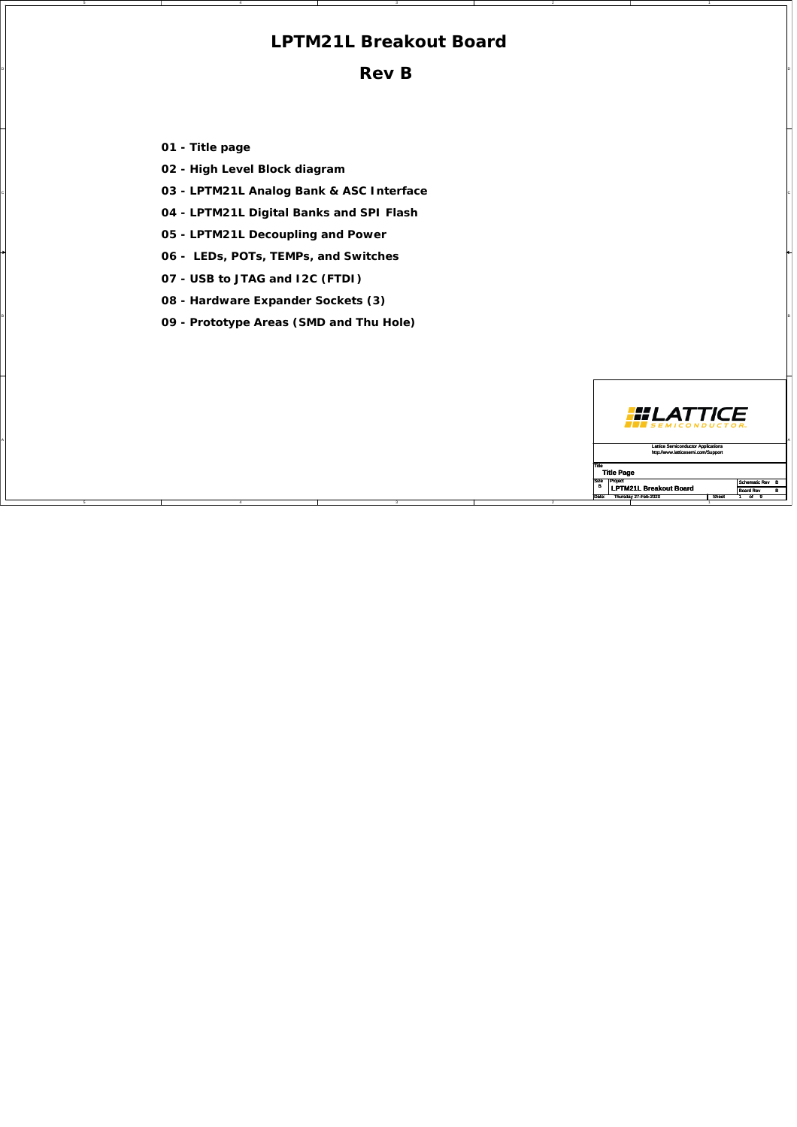## **LPTM21L Breakout Board**

 $\blacksquare$ **Rev B**

**01 - Title page**

5

5

**02 - High Level Block diagram**

4

- C C **03 LPTM21L Analog Bank & ASC Interface**
	- **04 LPTM21L Digital Banks and SPI Flash**
	- **05 LPTM21L Decoupling and Power**
	- **06 LEDs, POTs, TEMPs, and Switches**
	- **07 USB to JTAG and I2C (FTDI)**

4

- **08 Hardware Expander Sockets (3)**
- B B **09 Prototype Areas (SMD and Thu Hole)**

|  |   | <b>III LATTICE</b>                        |                  |
|--|---|-------------------------------------------|------------------|
|  |   | <b>Lattice Semiconductor Applications</b> |                  |
|  |   | http://www.latticesemi.com/Support        |                  |
|  |   |                                           |                  |
|  |   | <b>Title Page</b>                         |                  |
|  | B | Size Project                              | Schematic Rev B  |
|  |   | <b>LPTM21L Breakout Board</b>             | <b>Board Rev</b> |
|  |   | Date: Thursday 27-Feb-2020                | Sheet<br>nf i    |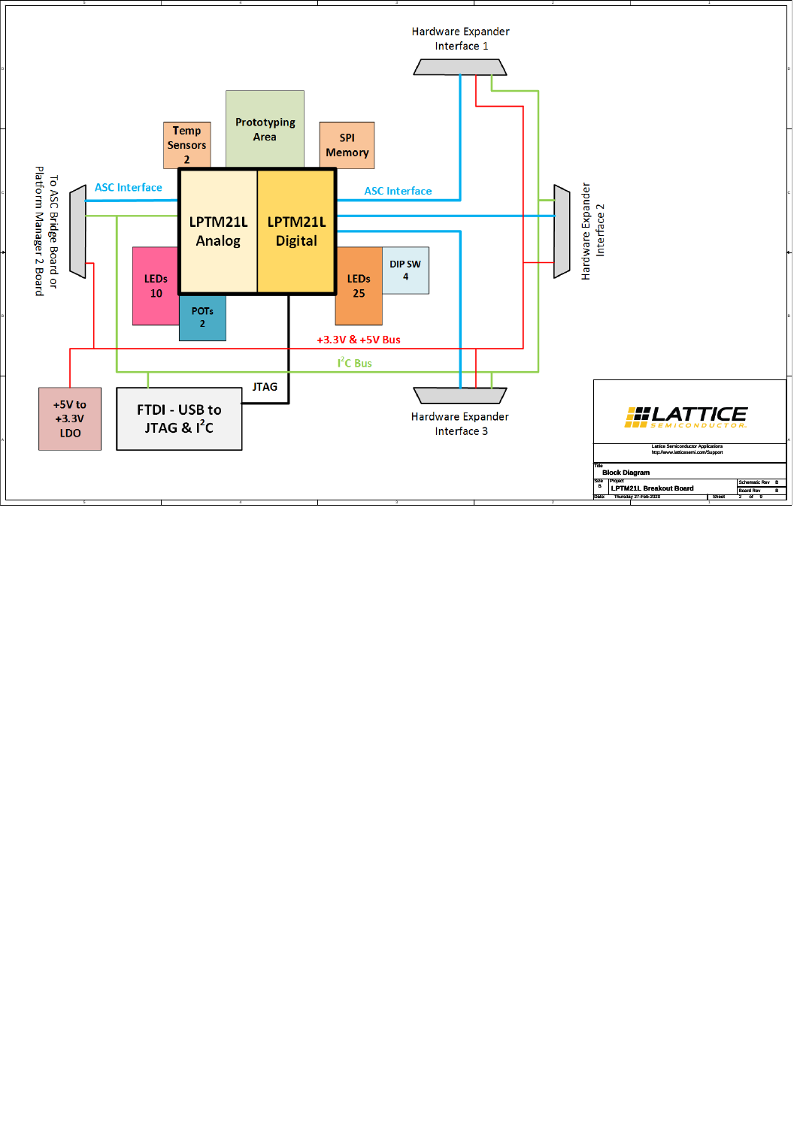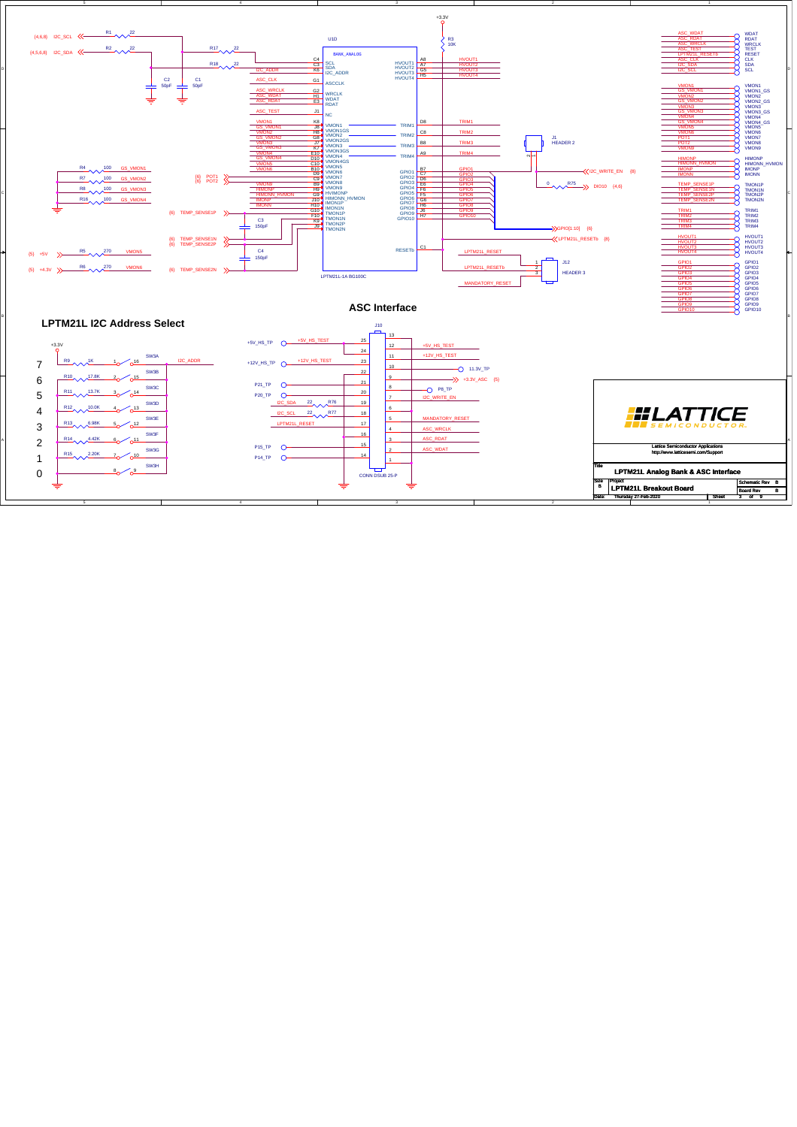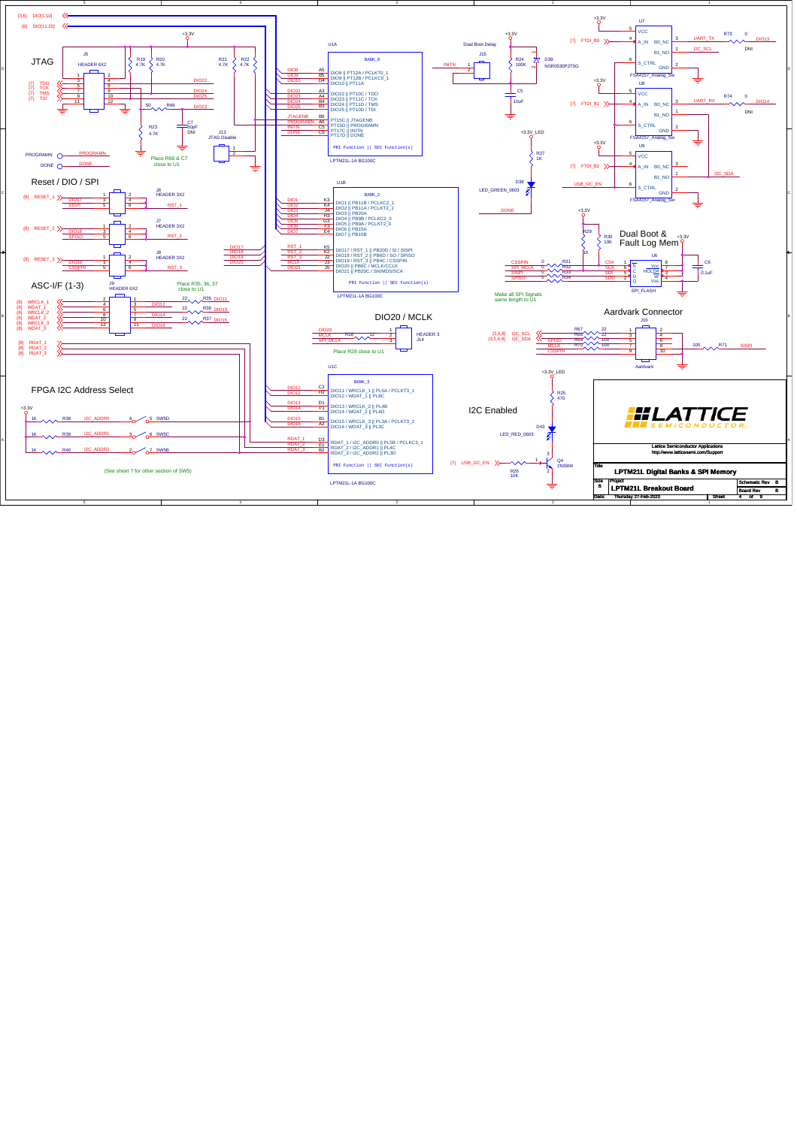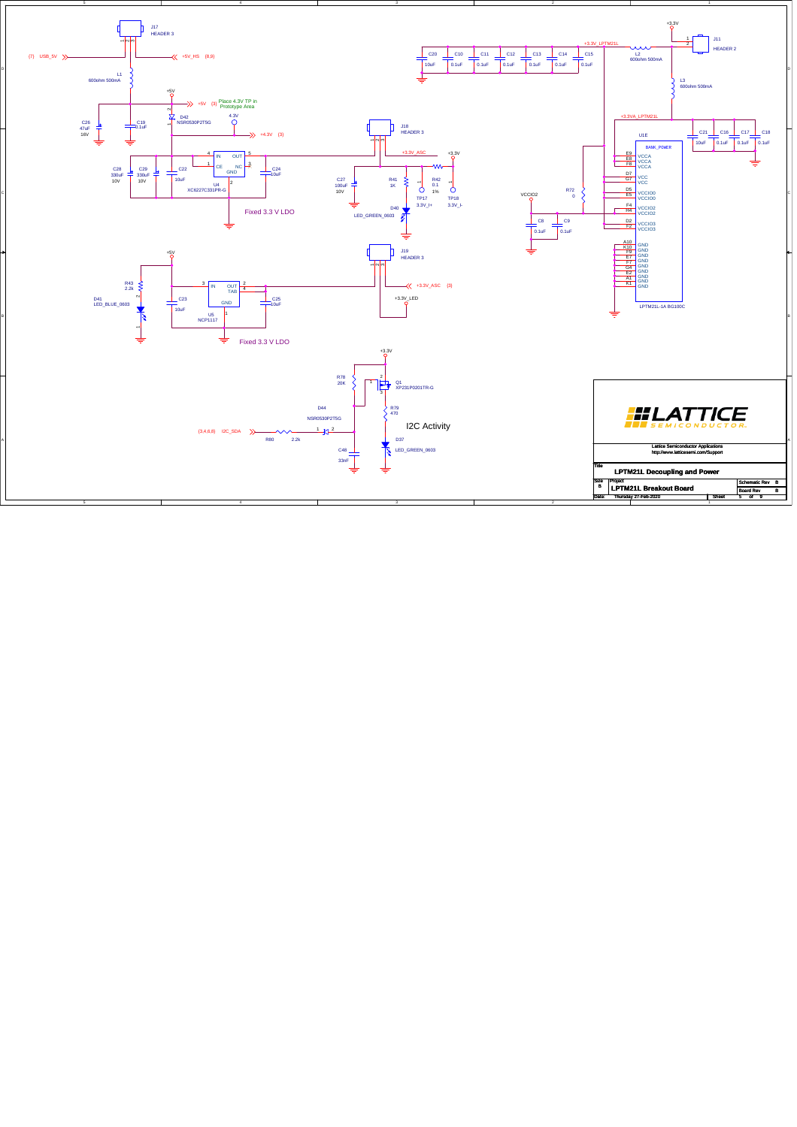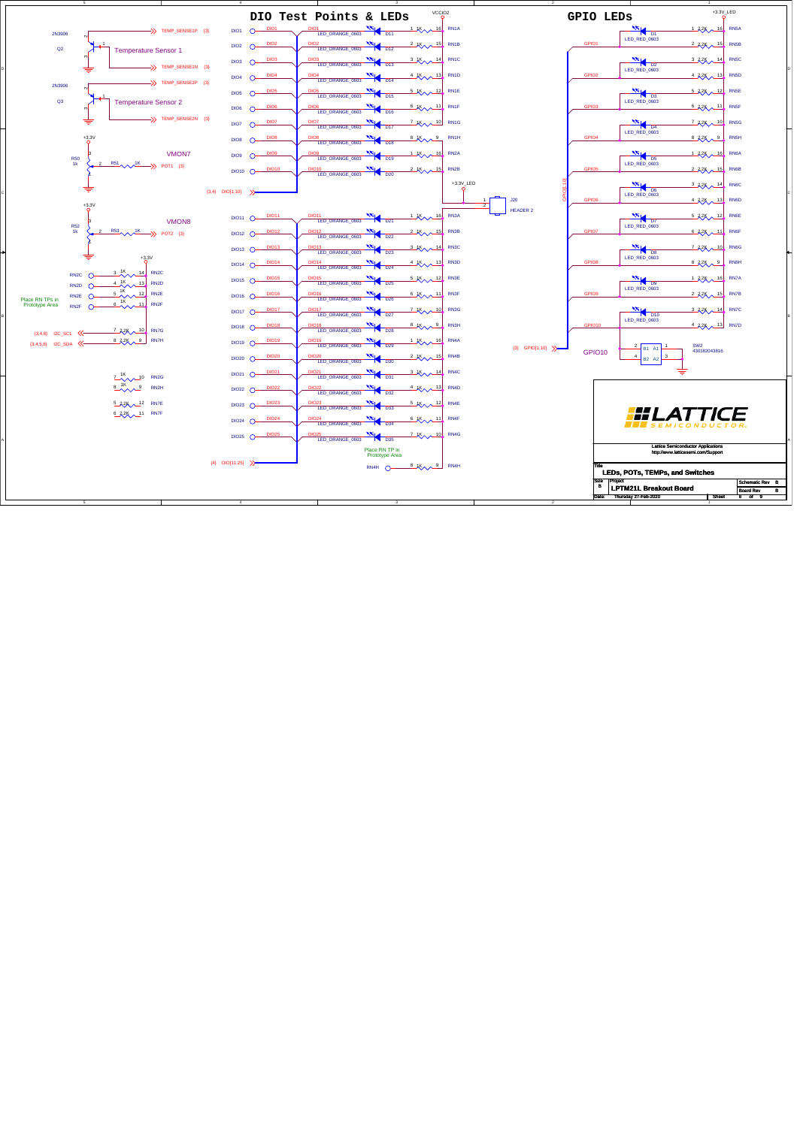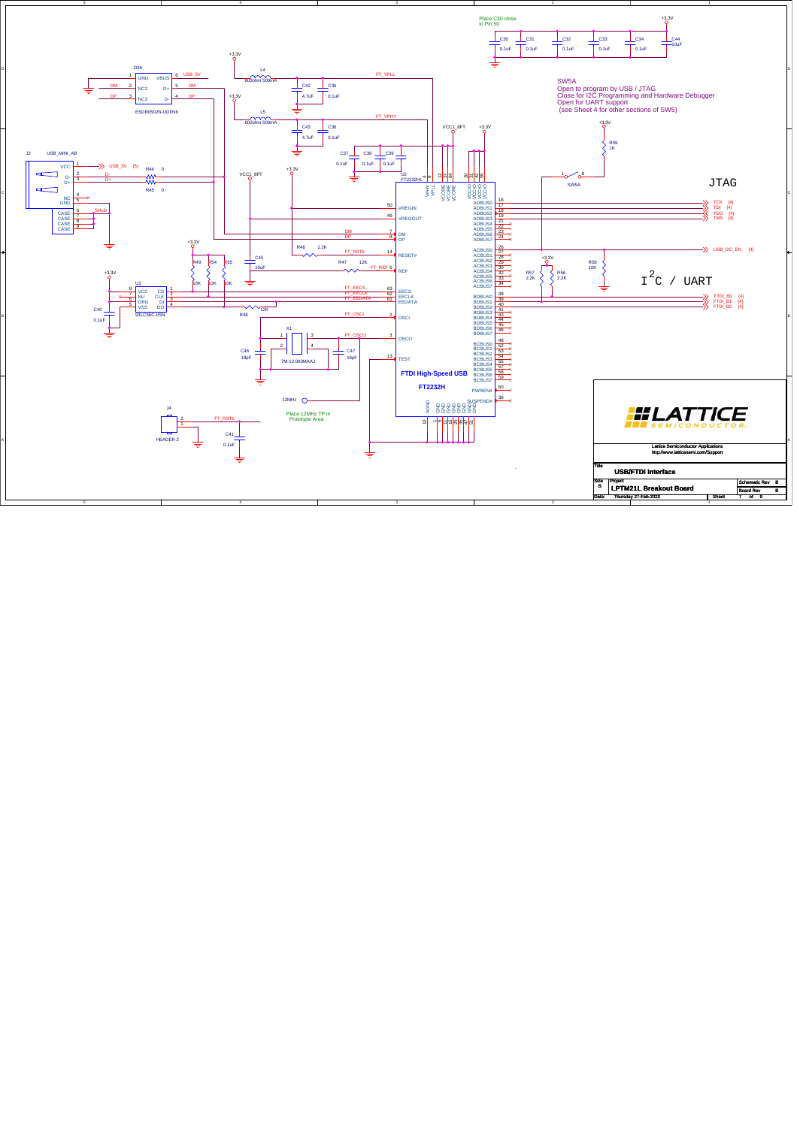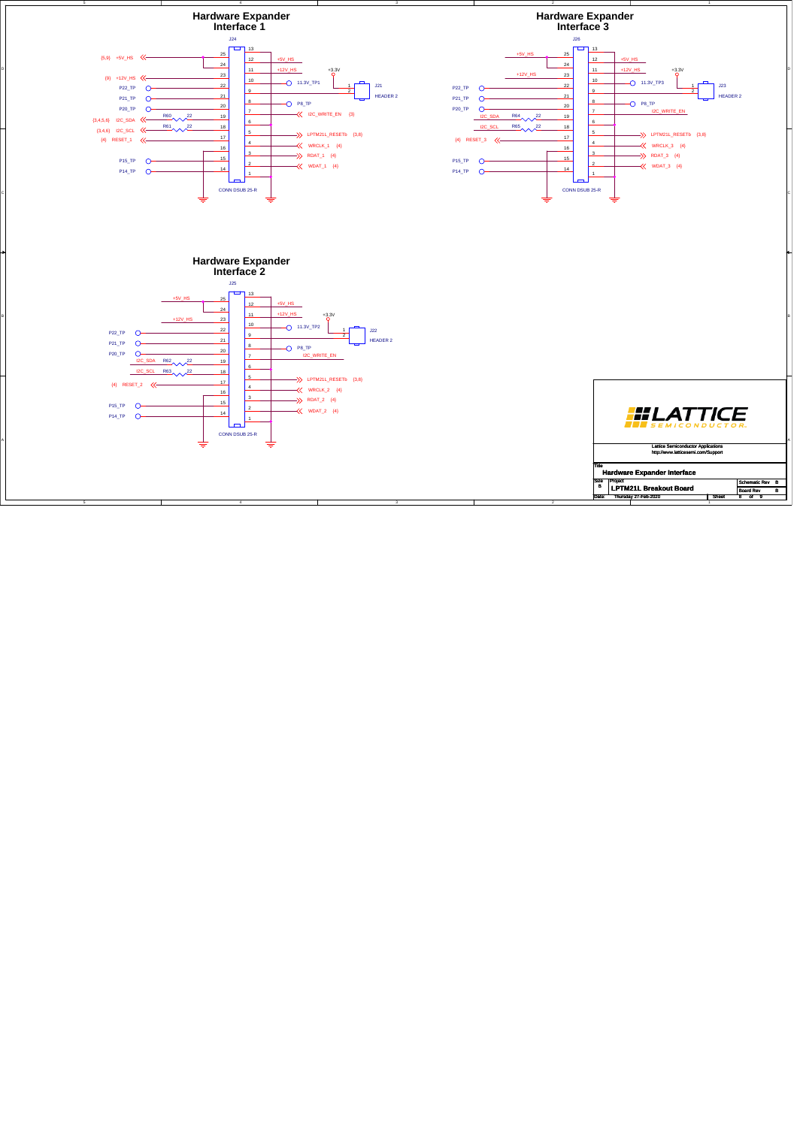